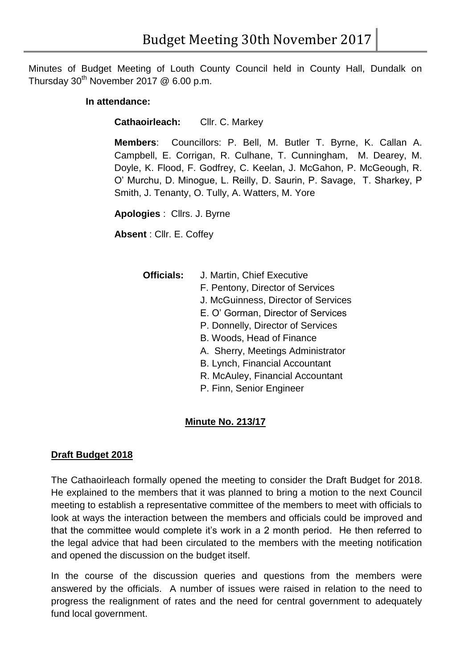Minutes of Budget Meeting of Louth County Council held in County Hall, Dundalk on Thursday  $30^{th}$  November 2017 @ 6.00 p.m.

## **In attendance:**

**Cathaoirleach:** Cllr. C. Markey

**Members**: Councillors: P. Bell, M. Butler T. Byrne, K. Callan A. Campbell, E. Corrigan, R. Culhane, T. Cunningham, M. Dearey, M. Doyle, K. Flood, F. Godfrey, C. Keelan, J. McGahon, P. McGeough, R. O' Murchu, D. Minogue, L. Reilly, D. Saurin, P. Savage, T. Sharkey, P Smith, J. Tenanty, O. Tully, A. Watters, M. Yore

**Apologies** : Cllrs. J. Byrne

**Absent** : Cllr. E. Coffey

- **Officials:** J. Martin, Chief Executive
	- F. Pentony, Director of Services
	- J. McGuinness, Director of Services
	- E. O' Gorman, Director of Services
	- P. Donnelly, Director of Services
	- B. Woods, Head of Finance
	- A. Sherry, Meetings Administrator
	- B. Lynch, Financial Accountant
	- R. McAuley, Financial Accountant
	- P. Finn, Senior Engineer

## **Minute No. 213/17**

## **Draft Budget 2018**

The Cathaoirleach formally opened the meeting to consider the Draft Budget for 2018. He explained to the members that it was planned to bring a motion to the next Council meeting to establish a representative committee of the members to meet with officials to look at ways the interaction between the members and officials could be improved and that the committee would complete it's work in a 2 month period. He then referred to the legal advice that had been circulated to the members with the meeting notification and opened the discussion on the budget itself.

In the course of the discussion queries and questions from the members were answered by the officials. A number of issues were raised in relation to the need to progress the realignment of rates and the need for central government to adequately fund local government.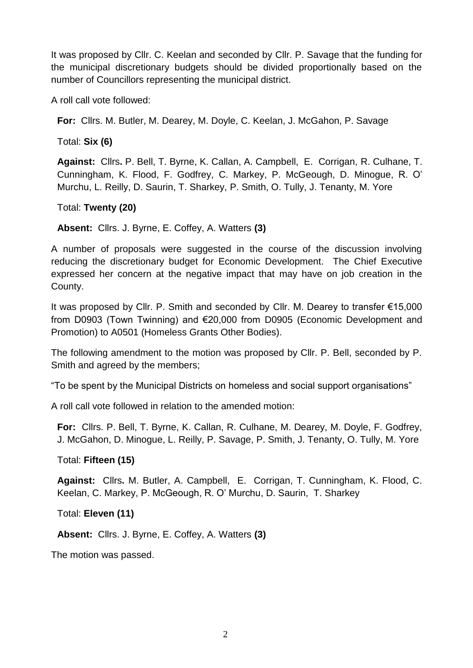It was proposed by Cllr. C. Keelan and seconded by Cllr. P. Savage that the funding for the municipal discretionary budgets should be divided proportionally based on the number of Councillors representing the municipal district.

A roll call vote followed:

**For:** Cllrs. M. Butler, M. Dearey, M. Doyle, C. Keelan, J. McGahon, P. Savage

Total: **Six (6)** 

**Against:** Cllrs**.** P. Bell, T. Byrne, K. Callan, A. Campbell, E. Corrigan, R. Culhane, T. Cunningham, K. Flood, F. Godfrey, C. Markey, P. McGeough, D. Minogue, R. O' Murchu, L. Reilly, D. Saurin, T. Sharkey, P. Smith, O. Tully, J. Tenanty, M. Yore

Total: **Twenty (20)** 

**Absent:** Cllrs. J. Byrne, E. Coffey, A. Watters **(3)**

A number of proposals were suggested in the course of the discussion involving reducing the discretionary budget for Economic Development. The Chief Executive expressed her concern at the negative impact that may have on job creation in the County.

It was proposed by Cllr. P. Smith and seconded by Cllr. M. Dearey to transfer €15,000 from D0903 (Town Twinning) and €20,000 from D0905 (Economic Development and Promotion) to A0501 (Homeless Grants Other Bodies).

The following amendment to the motion was proposed by Cllr. P. Bell, seconded by P. Smith and agreed by the members;

"To be spent by the Municipal Districts on homeless and social support organisations"

A roll call vote followed in relation to the amended motion:

**For:** Cllrs. P. Bell, T. Byrne, K. Callan, R. Culhane, M. Dearey, M. Doyle, F. Godfrey, J. McGahon, D. Minogue, L. Reilly, P. Savage, P. Smith, J. Tenanty, O. Tully, M. Yore

Total: **Fifteen (15)** 

**Against:** Cllrs**.** M. Butler, A. Campbell, E. Corrigan, T. Cunningham, K. Flood, C. Keelan, C. Markey, P. McGeough, R. O' Murchu, D. Saurin, T. Sharkey

Total: **Eleven (11)** 

**Absent:** Cllrs. J. Byrne, E. Coffey, A. Watters **(3)**

The motion was passed.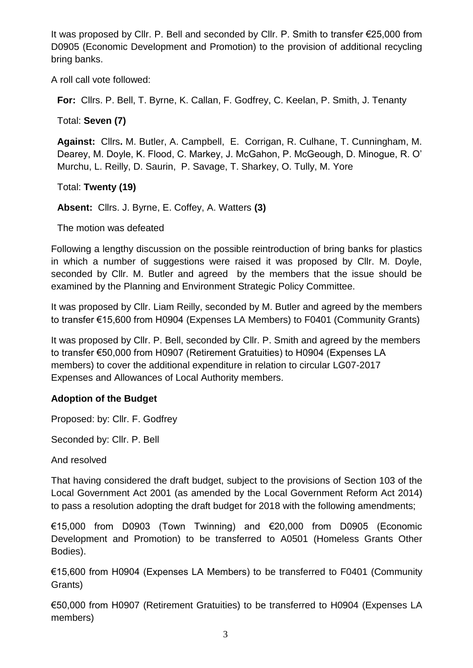It was proposed by Cllr. P. Bell and seconded by Cllr. P. Smith to transfer €25,000 from D0905 (Economic Development and Promotion) to the provision of additional recycling bring banks.

A roll call vote followed:

**For:** Cllrs. P. Bell, T. Byrne, K. Callan, F. Godfrey, C. Keelan, P. Smith, J. Tenanty

Total: **Seven (7)** 

**Against:** Cllrs**.** M. Butler, A. Campbell, E. Corrigan, R. Culhane, T. Cunningham, M. Dearey, M. Doyle, K. Flood, C. Markey, J. McGahon, P. McGeough, D. Minogue, R. O' Murchu, L. Reilly, D. Saurin, P. Savage, T. Sharkey, O. Tully, M. Yore

Total: **Twenty (19)** 

**Absent:** Cllrs. J. Byrne, E. Coffey, A. Watters **(3)**

The motion was defeated

Following a lengthy discussion on the possible reintroduction of bring banks for plastics in which a number of suggestions were raised it was proposed by Cllr. M. Doyle, seconded by Cllr. M. Butler and agreed by the members that the issue should be examined by the Planning and Environment Strategic Policy Committee.

It was proposed by Cllr. Liam Reilly, seconded by M. Butler and agreed by the members to transfer €15,600 from H0904 (Expenses LA Members) to F0401 (Community Grants)

It was proposed by Cllr. P. Bell, seconded by Cllr. P. Smith and agreed by the members to transfer €50,000 from H0907 (Retirement Gratuities) to H0904 (Expenses LA members) to cover the additional expenditure in relation to circular LG07-2017 Expenses and Allowances of Local Authority members.

## **Adoption of the Budget**

Proposed: by: Cllr. F. Godfrey

Seconded by: Cllr. P. Bell

And resolved

That having considered the draft budget, subject to the provisions of Section 103 of the Local Government Act 2001 (as amended by the Local Government Reform Act 2014) to pass a resolution adopting the draft budget for 2018 with the following amendments;

€15,000 from D0903 (Town Twinning) and €20,000 from D0905 (Economic Development and Promotion) to be transferred to A0501 (Homeless Grants Other Bodies).

€15,600 from H0904 (Expenses LA Members) to be transferred to F0401 (Community Grants)

€50,000 from H0907 (Retirement Gratuities) to be transferred to H0904 (Expenses LA members)